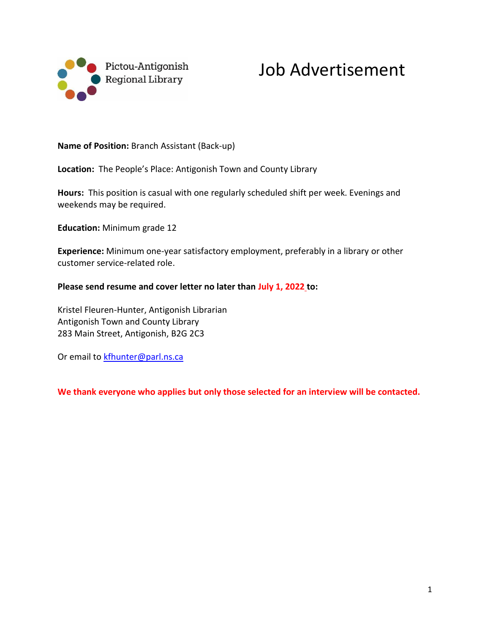

## Job Advertisement

**Name of Position:** Branch Assistant (Back-up)

**Location:** The People's Place: Antigonish Town and County Library

**Hours:** This position is casual with one regularly scheduled shift per week. Evenings and weekends may be required.

**Education:** Minimum grade 12

**Experience:** Minimum one-year satisfactory employment, preferably in a library or other customer service-related role.

**Please send resume and cover letter no later than July 1, 2022 to:**

Kristel Fleuren-Hunter, Antigonish Librarian Antigonish Town and County Library 283 Main Street, Antigonish, B2G 2C3

Or email to **kfhunter@parl.ns.ca** 

**We thank everyone who applies but only those selected for an interview will be contacted.**